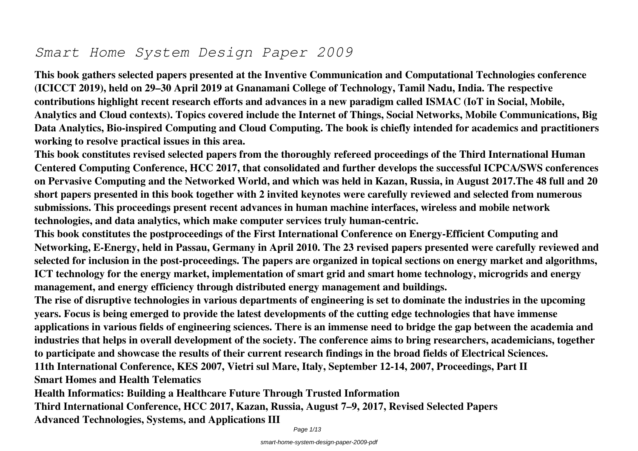# *Smart Home System Design Paper 2009*

**This book gathers selected papers presented at the Inventive Communication and Computational Technologies conference (ICICCT 2019), held on 29–30 April 2019 at Gnanamani College of Technology, Tamil Nadu, India. The respective contributions highlight recent research efforts and advances in a new paradigm called ISMAC (IoT in Social, Mobile, Analytics and Cloud contexts). Topics covered include the Internet of Things, Social Networks, Mobile Communications, Big Data Analytics, Bio-inspired Computing and Cloud Computing. The book is chiefly intended for academics and practitioners working to resolve practical issues in this area.**

**This book constitutes revised selected papers from the thoroughly refereed proceedings of the Third International Human Centered Computing Conference, HCC 2017, that consolidated and further develops the successful ICPCA/SWS conferences on Pervasive Computing and the Networked World, and which was held in Kazan, Russia, in August 2017.The 48 full and 20 short papers presented in this book together with 2 invited keynotes were carefully reviewed and selected from numerous submissions. This proceedings present recent advances in human machine interfaces, wireless and mobile network technologies, and data analytics, which make computer services truly human-centric.**

**This book constitutes the postproceedings of the First International Conference on Energy-Efficient Computing and Networking, E-Energy, held in Passau, Germany in April 2010. The 23 revised papers presented were carefully reviewed and selected for inclusion in the post-proceedings. The papers are organized in topical sections on energy market and algorithms, ICT technology for the energy market, implementation of smart grid and smart home technology, microgrids and energy management, and energy efficiency through distributed energy management and buildings.**

**The rise of disruptive technologies in various departments of engineering is set to dominate the industries in the upcoming years. Focus is being emerged to provide the latest developments of the cutting edge technologies that have immense applications in various fields of engineering sciences. There is an immense need to bridge the gap between the academia and industries that helps in overall development of the society. The conference aims to bring researchers, academicians, together to participate and showcase the results of their current research findings in the broad fields of Electrical Sciences. 11th International Conference, KES 2007, Vietri sul Mare, Italy, September 12-14, 2007, Proceedings, Part II Smart Homes and Health Telematics**

**Health Informatics: Building a Healthcare Future Through Trusted Information Third International Conference, HCC 2017, Kazan, Russia, August 7–9, 2017, Revised Selected Papers Advanced Technologies, Systems, and Applications III**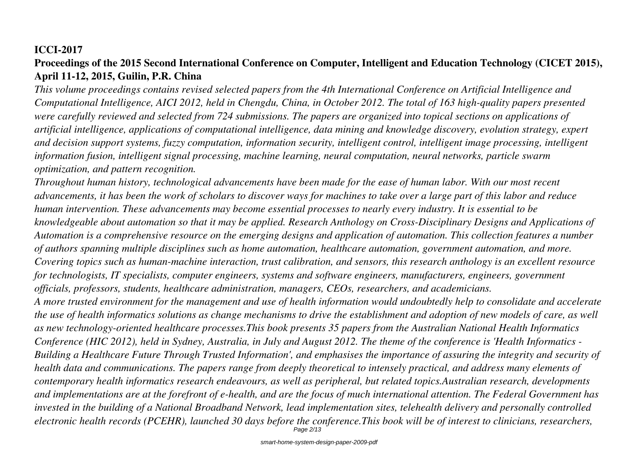# **ICCI-2017**

# **Proceedings of the 2015 Second International Conference on Computer, Intelligent and Education Technology (CICET 2015), April 11-12, 2015, Guilin, P.R. China**

*This volume proceedings contains revised selected papers from the 4th International Conference on Artificial Intelligence and Computational Intelligence, AICI 2012, held in Chengdu, China, in October 2012. The total of 163 high-quality papers presented were carefully reviewed and selected from 724 submissions. The papers are organized into topical sections on applications of artificial intelligence, applications of computational intelligence, data mining and knowledge discovery, evolution strategy, expert and decision support systems, fuzzy computation, information security, intelligent control, intelligent image processing, intelligent information fusion, intelligent signal processing, machine learning, neural computation, neural networks, particle swarm optimization, and pattern recognition.*

*Throughout human history, technological advancements have been made for the ease of human labor. With our most recent advancements, it has been the work of scholars to discover ways for machines to take over a large part of this labor and reduce human intervention. These advancements may become essential processes to nearly every industry. It is essential to be knowledgeable about automation so that it may be applied. Research Anthology on Cross-Disciplinary Designs and Applications of Automation is a comprehensive resource on the emerging designs and application of automation. This collection features a number of authors spanning multiple disciplines such as home automation, healthcare automation, government automation, and more. Covering topics such as human-machine interaction, trust calibration, and sensors, this research anthology is an excellent resource for technologists, IT specialists, computer engineers, systems and software engineers, manufacturers, engineers, government officials, professors, students, healthcare administration, managers, CEOs, researchers, and academicians. A more trusted environment for the management and use of health information would undoubtedly help to consolidate and accelerate*

*the use of health informatics solutions as change mechanisms to drive the establishment and adoption of new models of care, as well as new technology-oriented healthcare processes.This book presents 35 papers from the Australian National Health Informatics Conference (HIC 2012), held in Sydney, Australia, in July and August 2012. The theme of the conference is 'Health Informatics - Building a Healthcare Future Through Trusted Information', and emphasises the importance of assuring the integrity and security of health data and communications. The papers range from deeply theoretical to intensely practical, and address many elements of contemporary health informatics research endeavours, as well as peripheral, but related topics.Australian research, developments and implementations are at the forefront of e-health, and are the focus of much international attention. The Federal Government has invested in the building of a National Broadband Network, lead implementation sites, telehealth delivery and personally controlled electronic health records (PCEHR), launched 30 days before the conference.This book will be of interest to clinicians, researchers,* Page 2/13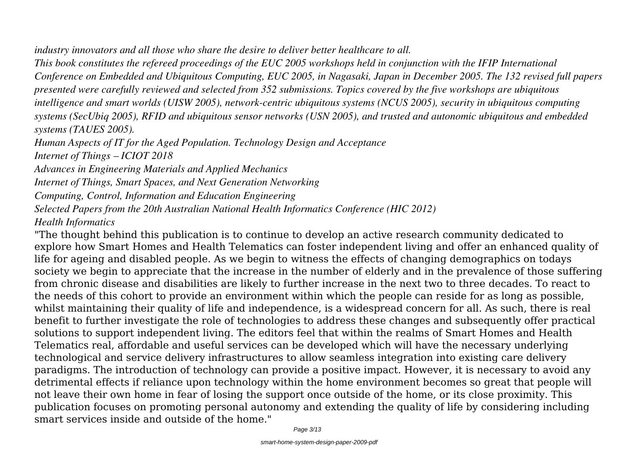*industry innovators and all those who share the desire to deliver better healthcare to all.*

*This book constitutes the refereed proceedings of the EUC 2005 workshops held in conjunction with the IFIP International Conference on Embedded and Ubiquitous Computing, EUC 2005, in Nagasaki, Japan in December 2005. The 132 revised full papers presented were carefully reviewed and selected from 352 submissions. Topics covered by the five workshops are ubiquitous intelligence and smart worlds (UISW 2005), network-centric ubiquitous systems (NCUS 2005), security in ubiquitous computing systems (SecUbiq 2005), RFID and ubiquitous sensor networks (USN 2005), and trusted and autonomic ubiquitous and embedded systems (TAUES 2005).*

*Human Aspects of IT for the Aged Population. Technology Design and Acceptance Internet of Things – ICIOT 2018*

*Advances in Engineering Materials and Applied Mechanics*

*Internet of Things, Smart Spaces, and Next Generation Networking*

*Computing, Control, Information and Education Engineering*

*Selected Papers from the 20th Australian National Health Informatics Conference (HIC 2012)*

*Health Informatics*

"The thought behind this publication is to continue to develop an active research community dedicated to explore how Smart Homes and Health Telematics can foster independent living and offer an enhanced quality of life for ageing and disabled people. As we begin to witness the effects of changing demographics on todays society we begin to appreciate that the increase in the number of elderly and in the prevalence of those suffering from chronic disease and disabilities are likely to further increase in the next two to three decades. To react to the needs of this cohort to provide an environment within which the people can reside for as long as possible, whilst maintaining their quality of life and independence, is a widespread concern for all. As such, there is real benefit to further investigate the role of technologies to address these changes and subsequently offer practical solutions to support independent living. The editors feel that within the realms of Smart Homes and Health Telematics real, affordable and useful services can be developed which will have the necessary underlying technological and service delivery infrastructures to allow seamless integration into existing care delivery paradigms. The introduction of technology can provide a positive impact. However, it is necessary to avoid any detrimental effects if reliance upon technology within the home environment becomes so great that people will not leave their own home in fear of losing the support once outside of the home, or its close proximity. This publication focuses on promoting personal autonomy and extending the quality of life by considering including smart services inside and outside of the home."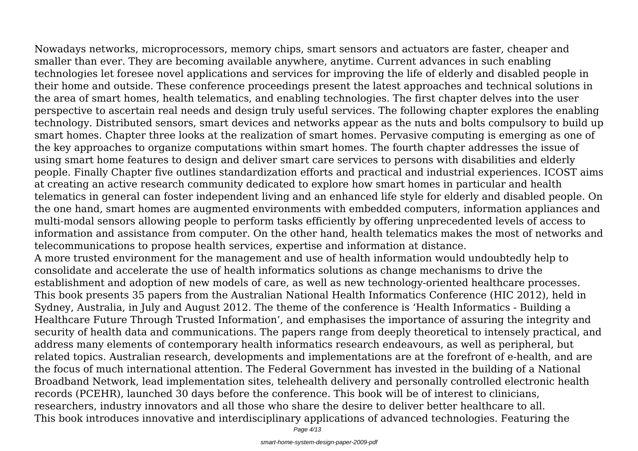Nowadays networks, microprocessors, memory chips, smart sensors and actuators are faster, cheaper and smaller than ever. They are becoming available anywhere, anytime. Current advances in such enabling technologies let foresee novel applications and services for improving the life of elderly and disabled people in their home and outside. These conference proceedings present the latest approaches and technical solutions in the area of smart homes, health telematics, and enabling technologies. The first chapter delves into the user perspective to ascertain real needs and design truly useful services. The following chapter explores the enabling technology. Distributed sensors, smart devices and networks appear as the nuts and bolts compulsory to build up smart homes. Chapter three looks at the realization of smart homes. Pervasive computing is emerging as one of the key approaches to organize computations within smart homes. The fourth chapter addresses the issue of using smart home features to design and deliver smart care services to persons with disabilities and elderly people. Finally Chapter five outlines standardization efforts and practical and industrial experiences. ICOST aims at creating an active research community dedicated to explore how smart homes in particular and health telematics in general can foster independent living and an enhanced life style for elderly and disabled people. On the one hand, smart homes are augmented environments with embedded computers, information appliances and multi-modal sensors allowing people to perform tasks efficiently by offering unprecedented levels of access to information and assistance from computer. On the other hand, health telematics makes the most of networks and telecommunications to propose health services, expertise and information at distance.

A more trusted environment for the management and use of health information would undoubtedly help to consolidate and accelerate the use of health informatics solutions as change mechanisms to drive the establishment and adoption of new models of care, as well as new technology-oriented healthcare processes. This book presents 35 papers from the Australian National Health Informatics Conference (HIC 2012), held in Sydney, Australia, in July and August 2012. The theme of the conference is 'Health Informatics - Building a Healthcare Future Through Trusted Information', and emphasises the importance of assuring the integrity and security of health data and communications. The papers range from deeply theoretical to intensely practical, and address many elements of contemporary health informatics research endeavours, as well as peripheral, but related topics. Australian research, developments and implementations are at the forefront of e-health, and are the focus of much international attention. The Federal Government has invested in the building of a National Broadband Network, lead implementation sites, telehealth delivery and personally controlled electronic health records (PCEHR), launched 30 days before the conference. This book will be of interest to clinicians, researchers, industry innovators and all those who share the desire to deliver better healthcare to all. This book introduces innovative and interdisciplinary applications of advanced technologies. Featuring the

Page 4/13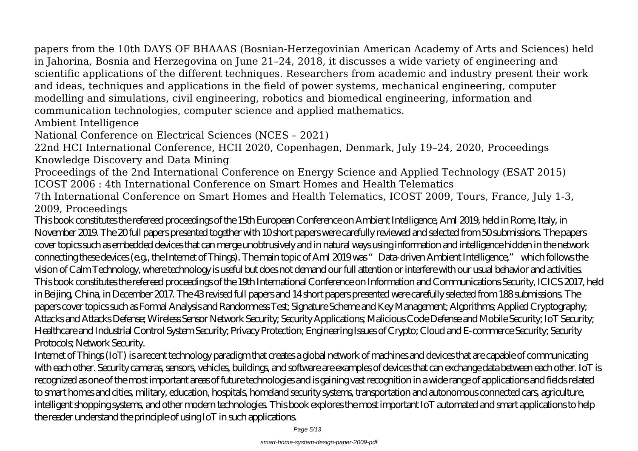papers from the 10th DAYS OF BHAAAS (Bosnian-Herzegovinian American Academy of Arts and Sciences) held in Jahorina, Bosnia and Herzegovina on June 21–24, 2018, it discusses a wide variety of engineering and scientific applications of the different techniques. Researchers from academic and industry present their work and ideas, techniques and applications in the field of power systems, mechanical engineering, computer modelling and simulations, civil engineering, robotics and biomedical engineering, information and communication technologies, computer science and applied mathematics.

Ambient Intelligence

National Conference on Electrical Sciences (NCES – 2021)

22nd HCI International Conference, HCII 2020, Copenhagen, Denmark, July 19–24, 2020, Proceedings Knowledge Discovery and Data Mining

Proceedings of the 2nd International Conference on Energy Science and Applied Technology (ESAT 2015) ICOST 2006 : 4th International Conference on Smart Homes and Health Telematics

7th International Conference on Smart Homes and Health Telematics, ICOST 2009, Tours, France, July 1-3, 2009, Proceedings

This book constitutes the refereed proceedings of the 15th European Conference on Ambient Intelligence, AmI 2019, held in Rome, Italy, in November 2019. The 20 full papers presented together with 10 short papers were carefully reviewed and selected from 50 submissions. The papers cover topics such as embedded devices that can merge unobtrusively and in natural ways using information and intelligence hidden in the network connecting these devices (e.g., the Internet of Things). The main topic of AmI 2019 was "Data-driven Ambient Intelligence," which follows the vision of Calm Technology, where technology is useful but does not demand our full attention or interfere with our usual behavior and activities. This book constitutes the refereed proceedings of the 19th International Conference on Information and Communications Security, ICICS 2017, held in Beijing, China, in December 2017. The 43 revised full papers and 14 short papers presented were carefully selected from 188 submissions. The papers cover topics such as Formal Analysis and Randomness Test; Signature Scheme and Key Management; Algorithms; Applied Cryptography; Attacks and Attacks Defense; Wireless Sensor Network Security; Security Applications; Malicious Code Defense and Mobile Security; IoT Security; Healthcare and Industrial Control System Security; Privacy Protection; Engineering Issues of Crypto; Cloud and E-commerce Security; Security Protocols; Network Security.

Internet of Things (IoT) is a recent technology paradigm that creates a global network of machines and devices that are capable of communicating with each other. Security cameras, sensors, vehicles, buildings, and software are examples of devices that can exchange data between each other. IoT is recognized as one of the most important areas of future technologies and is gaining vast recognition in a wide range of applications and fields related to smart homes and cities, military, education, hospitals, homeland security systems, transportation and autonomous connected cars, agriculture, intelligent shopping systems, and other modern technologies. This book explores the most important IoT automated and smart applications to help the reader understand the principle of using IoT in such applications.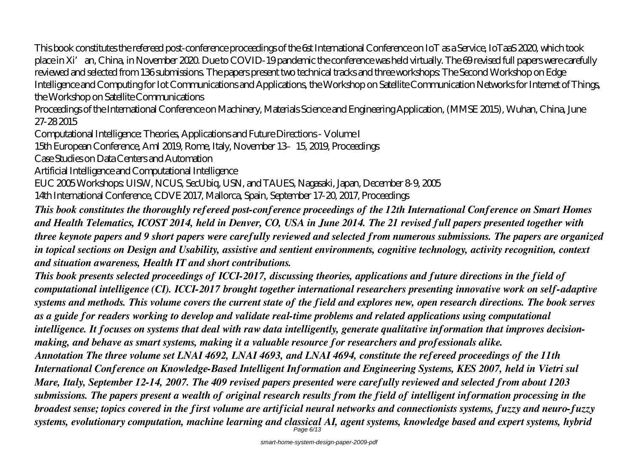This book constitutes the refereed post-conference proceedings of the 6st International Conference on IoT as a Service, IoTaaS 2020, which took place in Xi'an, China, in November 2020. Due to COVID-19 pandemic the conference was held virtually. The 69 revised full papers were carefully reviewed and selected from 136 submissions. The papers present two technical tracks and three workshops: The Second Workshop on Edge Intelligence and Computing for Iot Communications and Applications, the Workshop on Satellite Communication Networks for Internet of Things, the Workshop on Satellite Communications

Proceedings of the International Conference on Machinery, Materials Science and Engineering Application, (MMSE 2015), Wuhan, China, June 27-28 2015

Computational Intelligence: Theories, Applications and Future Directions - Volume I

15th European Conference, AmI 2019, Rome, Italy, November 13–15, 2019, Proceedings

Case Studies on Data Centers and Automation

Artificial Intelligence and Computational Intelligence

EUC 2005 Workshops: UISW, NCUS, SecUbiq, USN, and TAUES, Nagasaki, Japan, December 8-9, 2005

14th International Conference, CDVE 2017, Mallorca, Spain, September 17-20, 2017, Proceedings

*This book constitutes the thoroughly refereed post-conference proceedings of the 12th International Conference on Smart Homes and Health Telematics, ICOST 2014, held in Denver, CO, USA in June 2014. The 21 revised full papers presented together with three keynote papers and 9 short papers were carefully reviewed and selected from numerous submissions. The papers are organized in topical sections on Design and Usability, assistive and sentient environments, cognitive technology, activity recognition, context and situation awareness, Health IT and short contributions.*

*This book presents selected proceedings of ICCI-2017, discussing theories, applications and future directions in the field of computational intelligence (CI). ICCI-2017 brought together international researchers presenting innovative work on self-adaptive systems and methods. This volume covers the current state of the field and explores new, open research directions. The book serves as a guide for readers working to develop and validate real-time problems and related applications using computational intelligence. It focuses on systems that deal with raw data intelligently, generate qualitative information that improves decisionmaking, and behave as smart systems, making it a valuable resource for researchers and professionals alike. Annotation The three volume set LNAI 4692, LNAI 4693, and LNAI 4694, constitute the refereed proceedings of the 11th International Conference on Knowledge-Based Intelligent Information and Engineering Systems, KES 2007, held in Vietri sul Mare, Italy, September 12-14, 2007. The 409 revised papers presented were carefully reviewed and selected from about 1203 submissions. The papers present a wealth of original research results from the field of intelligent information processing in the broadest sense; topics covered in the first volume are artificial neural networks and connectionists systems, fuzzy and neuro-fuzzy systems, evolutionary computation, machine learning and classical AI, agent systems, knowledge based and expert systems, hybrid* Page 6/13

smart-home-system-design-paper-2009-pdf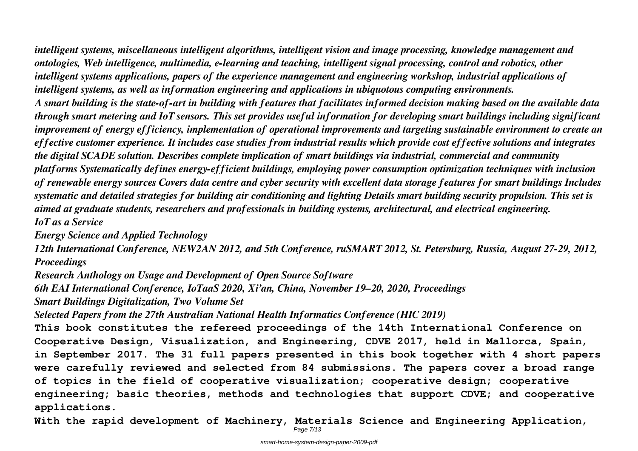*intelligent systems, miscellaneous intelligent algorithms, intelligent vision and image processing, knowledge management and ontologies, Web intelligence, multimedia, e-learning and teaching, intelligent signal processing, control and robotics, other intelligent systems applications, papers of the experience management and engineering workshop, industrial applications of intelligent systems, as well as information engineering and applications in ubiquotous computing environments. A smart building is the state-of-art in building with features that facilitates informed decision making based on the available data through smart metering and IoT sensors. This set provides useful information for developing smart buildings including significant improvement of energy efficiency, implementation of operational improvements and targeting sustainable environment to create an effective customer experience. It includes case studies from industrial results which provide cost effective solutions and integrates the digital SCADE solution. Describes complete implication of smart buildings via industrial, commercial and community platforms Systematically defines energy-efficient buildings, employing power consumption optimization techniques with inclusion of renewable energy sources Covers data centre and cyber security with excellent data storage features for smart buildings Includes systematic and detailed strategies for building air conditioning and lighting Details smart building security propulsion. This set is aimed at graduate students, researchers and professionals in building systems, architectural, and electrical engineering. IoT as a Service*

*Energy Science and Applied Technology*

*12th International Conference, NEW2AN 2012, and 5th Conference, ruSMART 2012, St. Petersburg, Russia, August 27-29, 2012, Proceedings*

*Research Anthology on Usage and Development of Open Source Software*

*6th EAI International Conference, IoTaaS 2020, Xi'an, China, November 19–20, 2020, Proceedings*

*Smart Buildings Digitalization, Two Volume Set*

*Selected Papers from the 27th Australian National Health Informatics Conference (HIC 2019)*

**This book constitutes the refereed proceedings of the 14th International Conference on Cooperative Design, Visualization, and Engineering, CDVE 2017, held in Mallorca, Spain, in September 2017. The 31 full papers presented in this book together with 4 short papers were carefully reviewed and selected from 84 submissions. The papers cover a broad range of topics in the field of cooperative visualization; cooperative design; cooperative engineering; basic theories, methods and technologies that support CDVE; and cooperative applications.**

**With the rapid development of Machinery, Materials Science and Engineering Application,**

Page 7/13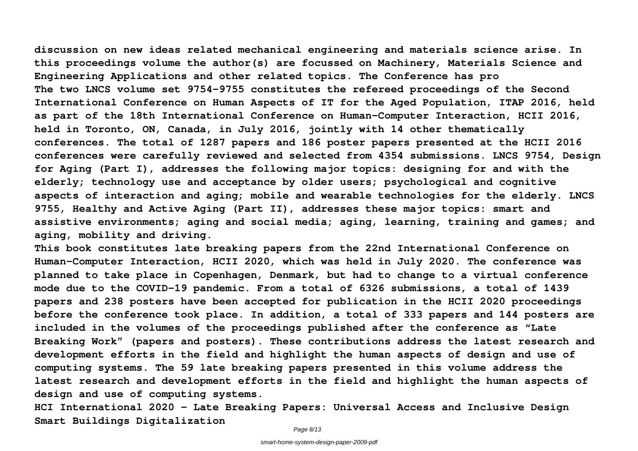**discussion on new ideas related mechanical engineering and materials science arise. In this proceedings volume the author(s) are focussed on Machinery, Materials Science and Engineering Applications and other related topics. The Conference has pro The two LNCS volume set 9754-9755 constitutes the refereed proceedings of the Second International Conference on Human Aspects of IT for the Aged Population, ITAP 2016, held as part of the 18th International Conference on Human-Computer Interaction, HCII 2016, held in Toronto, ON, Canada, in July 2016, jointly with 14 other thematically conferences. The total of 1287 papers and 186 poster papers presented at the HCII 2016 conferences were carefully reviewed and selected from 4354 submissions. LNCS 9754, Design for Aging (Part I), addresses the following major topics: designing for and with the elderly; technology use and acceptance by older users; psychological and cognitive aspects of interaction and aging; mobile and wearable technologies for the elderly. LNCS 9755, Healthy and Active Aging (Part II), addresses these major topics: smart and assistive environments; aging and social media; aging, learning, training and games; and aging, mobility and driving.**

**This book constitutes late breaking papers from the 22nd International Conference on Human-Computer Interaction, HCII 2020, which was held in July 2020. The conference was planned to take place in Copenhagen, Denmark, but had to change to a virtual conference mode due to the COVID-19 pandemic. From a total of 6326 submissions, a total of 1439 papers and 238 posters have been accepted for publication in the HCII 2020 proceedings before the conference took place. In addition, a total of 333 papers and 144 posters are included in the volumes of the proceedings published after the conference as "Late Breaking Work" (papers and posters). These contributions address the latest research and development efforts in the field and highlight the human aspects of design and use of computing systems. The 59 late breaking papers presented in this volume address the latest research and development efforts in the field and highlight the human aspects of design and use of computing systems.**

**HCI International 2020 – Late Breaking Papers: Universal Access and Inclusive Design Smart Buildings Digitalization**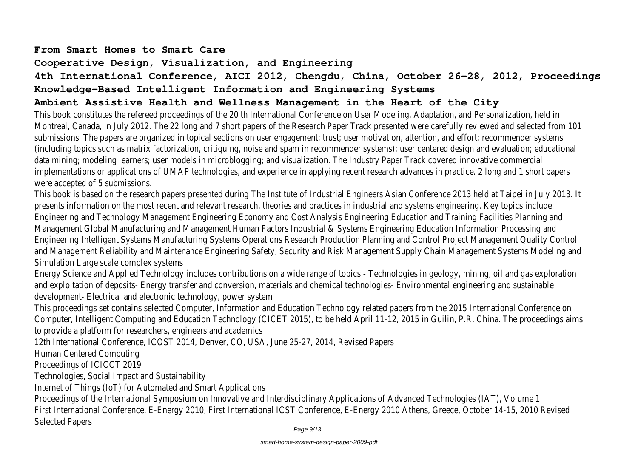#### **From Smart Homes to Smart Care**

### **Cooperative Design, Visualization, and Engineering**

# **4th International Conference, AICI 2012, Chengdu, China, October 26-28, 2012, Proceedings Knowledge-Based Intelligent Information and Engineering Systems**

## **Ambient Assistive Health and Wellness Management in the Heart of the City**

This book constitutes the refereed proceedings of the 20 th International Conference on User Modeling, Adaptation, and Personalizat Montreal, Canada, in July 2012. The 22 long and 7 short papers of the Research Paper Track presented were carefully reviewed and selection of the Research Paper Track presented were carefully reviewed and selection of the submissions. The papers are organized in topical sections on user engagement; trust; user motivation, attention, and effort; recomme (including topics such as matrix factorization, critiquing, noise and spam in recommender systems); user centered design and evaluati data mining; modeling learners; user models in microblogging; and visualization. The Industry Paper Track covered innovative commerci implementations or applications of UMAP technologies, and experience in applying recent research advances in practice. 2 long and 1 were accepted of 5 submissions.

This book is based on the research papers presented during The Institute of Industrial Engineers Asian Conference 2013 held at Taipe presents information on the most recent and relevant research, theories and practices in industrial and systems engineering. Key top Engineering and Technology Management Engineering Economy and Cost Analysis Engineering Education and Training Facilities Planning and Management Global Manufacturing and Management Human Factors Industrial & Systems Engineering Education Information Processi Engineering Intelligent Systems Manufacturing Systems Operations Research Production Planning and Control Project Management Q and Management Reliability and Maintenance Engineering Safety, Security and Risk Management Supply Chain Management Systems N Simulation Large scale complex systems

Energy Science and Applied Technology includes contributions on a wide range of topics:- Technologies in geology, mining, oil and gas and exploitation of deposits- Energy transfer and conversion, materials and chemical technologies- Environmental engineering and sus development- Electrical and electronic technology, power system

This proceedings set contains selected Computer, Information and Education Technology related papers from the 2015 International Computer, Intelligent Computing and Education Technology (CICET 2015), to be held April 11-12, 2015 in Guilin, P.R. China. The procee to provide a platform for researchers, engineers and academics

12th International Conference, ICOST 2014, Denver, CO, USA, June 25-27, 2014, Revised Papers

Human Centered Computing

Proceedings of ICICCT 2019

Technologies, Social Impact and Sustainability

Internet of Things (IoT) for Automated and Smart Applications

Proceedings of the International Symposium on Innovative and Interdisciplinary Applications of Advanced Technologies (IAT), Volume 1 First International Conference, E-Energy 2010, First International ICST Conference, E-Energy 2010 Athens, Greece, October 14-15, 20 Selected Papers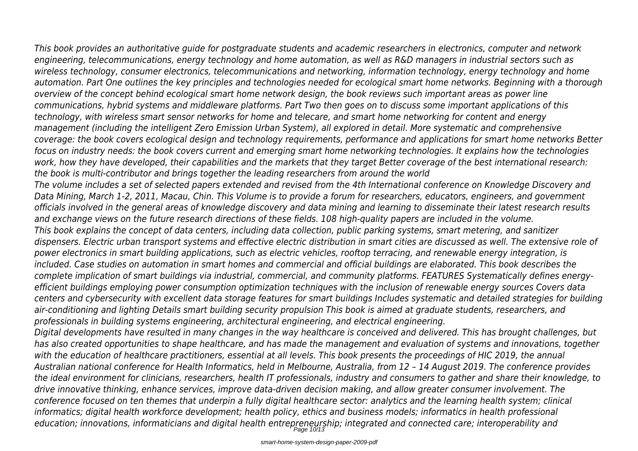*This book provides an authoritative guide for postgraduate students and academic researchers in electronics, computer and network engineering, telecommunications, energy technology and home automation, as well as R&D managers in industrial sectors such as wireless technology, consumer electronics, telecommunications and networking, information technology, energy technology and home automation. Part One outlines the key principles and technologies needed for ecological smart home networks. Beginning with a thorough overview of the concept behind ecological smart home network design, the book reviews such important areas as power line*

*communications, hybrid systems and middleware platforms. Part Two then goes on to discuss some important applications of this technology, with wireless smart sensor networks for home and telecare, and smart home networking for content and energy management (including the intelligent Zero Emission Urban System), all explored in detail. More systematic and comprehensive coverage: the book covers ecological design and technology requirements, performance and applications for smart home networks Better focus on industry needs: the book covers current and emerging smart home networking technologies. It explains how the technologies work, how they have developed, their capabilities and the markets that they target Better coverage of the best international research: the book is multi-contributor and brings together the leading researchers from around the world*

*The volume includes a set of selected papers extended and revised from the 4th International conference on Knowledge Discovery and Data Mining, March 1-2, 2011, Macau, Chin. This Volume is to provide a forum for researchers, educators, engineers, and government officials involved in the general areas of knowledge discovery and data mining and learning to disseminate their latest research results and exchange views on the future research directions of these fields. 108 high-quality papers are included in the volume. This book explains the concept of data centers, including data collection, public parking systems, smart metering, and sanitizer dispensers. Electric urban transport systems and effective electric distribution in smart cities are discussed as well. The extensive role of power electronics in smart building applications, such as electric vehicles, rooftop terracing, and renewable energy integration, is included. Case studies on automation in smart homes and commercial and official buildings are elaborated. This book describes the complete implication of smart buildings via industrial, commercial, and community platforms. FEATURES Systematically defines energyefficient buildings employing power consumption optimization techniques with the inclusion of renewable energy sources Covers data centers and cybersecurity with excellent data storage features for smart buildings Includes systematic and detailed strategies for building air-conditioning and lighting Details smart building security propulsion This book is aimed at graduate students, researchers, and professionals in building systems engineering, architectural engineering, and electrical engineering.*

*Digital developments have resulted in many changes in the way healthcare is conceived and delivered. This has brought challenges, but has also created opportunities to shape healthcare, and has made the management and evaluation of systems and innovations, together with the education of healthcare practitioners, essential at all levels. This book presents the proceedings of HIC 2019, the annual Australian national conference for Health Informatics, held in Melbourne, Australia, from 12 – 14 August 2019. The conference provides the ideal environment for clinicians, researchers, health IT professionals, industry and consumers to gather and share their knowledge, to drive innovative thinking, enhance services, improve data-driven decision making, and allow greater consumer involvement. The conference focused on ten themes that underpin a fully digital healthcare sector: analytics and the learning health system; clinical informatics; digital health workforce development; health policy, ethics and business models; informatics in health professional education; innovations, informaticians and digital health entrepreneurship; integrated and connected care; interoperability and* Page 10/13

smart-home-system-design-paper-2009-pdf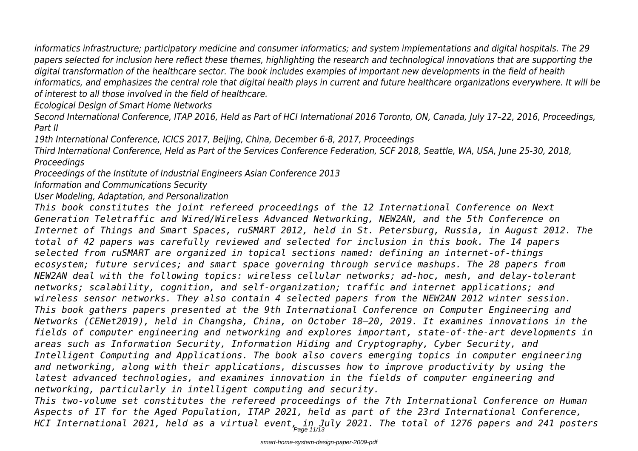*informatics infrastructure; participatory medicine and consumer informatics; and system implementations and digital hospitals. The 29 papers selected for inclusion here reflect these themes, highlighting the research and technological innovations that are supporting the digital transformation of the healthcare sector. The book includes examples of important new developments in the field of health informatics, and emphasizes the central role that digital health plays in current and future healthcare organizations everywhere. It will be of interest to all those involved in the field of healthcare.*

*Ecological Design of Smart Home Networks*

*Second International Conference, ITAP 2016, Held as Part of HCI International 2016 Toronto, ON, Canada, July 17–22, 2016, Proceedings, Part II*

*19th International Conference, ICICS 2017, Beijing, China, December 6-8, 2017, Proceedings*

*Third International Conference, Held as Part of the Services Conference Federation, SCF 2018, Seattle, WA, USA, June 25-30, 2018, Proceedings*

*Proceedings of the Institute of Industrial Engineers Asian Conference 2013*

*Information and Communications Security*

*User Modeling, Adaptation, and Personalization*

*This book constitutes the joint refereed proceedings of the 12 International Conference on Next Generation Teletraffic and Wired/Wireless Advanced Networking, NEW2AN, and the 5th Conference on Internet of Things and Smart Spaces, ruSMART 2012, held in St. Petersburg, Russia, in August 2012. The total of 42 papers was carefully reviewed and selected for inclusion in this book. The 14 papers selected from ruSMART are organized in topical sections named: defining an internet-of-things ecosystem; future services; and smart space governing through service mashups. The 28 papers from NEW2AN deal with the following topics: wireless cellular networks; ad-hoc, mesh, and delay-tolerant networks; scalability, cognition, and self-organization; traffic and internet applications; and wireless sensor networks. They also contain 4 selected papers from the NEW2AN 2012 winter session. This book gathers papers presented at the 9th International Conference on Computer Engineering and Networks (CENet2019), held in Changsha, China, on October 18–20, 2019. It examines innovations in the fields of computer engineering and networking and explores important, state-of-the-art developments in areas such as Information Security, Information Hiding and Cryptography, Cyber Security, and Intelligent Computing and Applications. The book also covers emerging topics in computer engineering and networking, along with their applications, discusses how to improve productivity by using the latest advanced technologies, and examines innovation in the fields of computer engineering and networking, particularly in intelligent computing and security.*

*This two-volume set constitutes the refereed proceedings of the 7th International Conference on Human Aspects of IT for the Aged Population, ITAP 2021, held as part of the 23rd International Conference, HCI International 2021, held as a virtual event, in July 2021. The total of 1276 papers and 241 posters* Page 11/13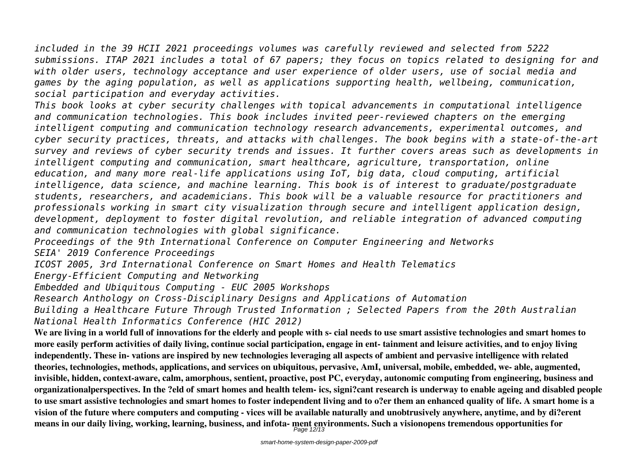*included in the 39 HCII 2021 proceedings volumes was carefully reviewed and selected from 5222 submissions. ITAP 2021 includes a total of 67 papers; they focus on topics related to designing for and with older users, technology acceptance and user experience of older users, use of social media and games by the aging population, as well as applications supporting health, wellbeing, communication, social participation and everyday activities.*

*This book looks at cyber security challenges with topical advancements in computational intelligence and communication technologies. This book includes invited peer-reviewed chapters on the emerging intelligent computing and communication technology research advancements, experimental outcomes, and cyber security practices, threats, and attacks with challenges. The book begins with a state-of-the-art survey and reviews of cyber security trends and issues. It further covers areas such as developments in intelligent computing and communication, smart healthcare, agriculture, transportation, online education, and many more real-life applications using IoT, big data, cloud computing, artificial intelligence, data science, and machine learning. This book is of interest to graduate/postgraduate students, researchers, and academicians. This book will be a valuable resource for practitioners and professionals working in smart city visualization through secure and intelligent application design, development, deployment to foster digital revolution, and reliable integration of advanced computing and communication technologies with global significance.*

*Proceedings of the 9th International Conference on Computer Engineering and Networks*

*SEIA' 2019 Conference Proceedings*

*ICOST 2005, 3rd International Conference on Smart Homes and Health Telematics*

*Energy-Efficient Computing and Networking*

*Embedded and Ubiquitous Computing - EUC 2005 Workshops*

*Research Anthology on Cross-Disciplinary Designs and Applications of Automation*

*Building a Healthcare Future Through Trusted Information ; Selected Papers from the 20th Australian National Health Informatics Conference (HIC 2012)*

**We are living in a world full of innovations for the elderly and people with s- cial needs to use smart assistive technologies and smart homes to more easily perform activities of daily living, continue social participation, engage in ent- tainment and leisure activities, and to enjoy living independently. These in- vations are inspired by new technologies leveraging all aspects of ambient and pervasive intelligence with related theories, technologies, methods, applications, and services on ubiquitous, pervasive, AmI, universal, mobile, embedded, we- able, augmented, invisible, hidden, context-aware, calm, amorphous, sentient, proactive, post PC, everyday, autonomic computing from engineering, business and organizationalperspectives. In the ?eld of smart homes and health telem- ics, signi?cant research is underway to enable ageing and disabled people to use smart assistive technologies and smart homes to foster independent living and to o?er them an enhanced quality of life. A smart home is a vision of the future where computers and computing - vices will be available naturally and unobtrusively anywhere, anytime, and by di?erent means in our daily living, working, learning, business, and infota- ment environments. Such a visionopens tremendous opportunities for** Page 12/13